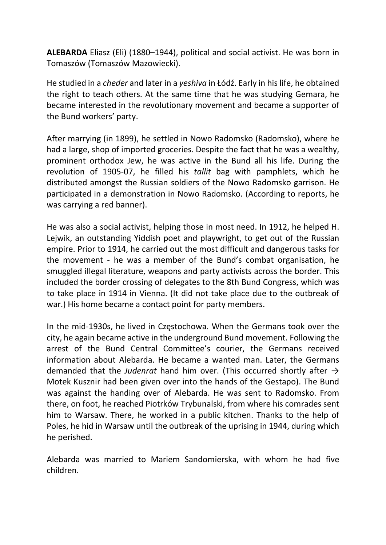ALEBARDA Eliasz (Eli) (1880–1944), political and social activist. He was born in Tomaszów (Tomaszów Mazowiecki).

He studied in a cheder and later in a yeshiva in Łódź. Early in his life, he obtained the right to teach others. At the same time that he was studying Gemara, he became interested in the revolutionary movement and became a supporter of the Bund workers' party.

After marrying (in 1899), he settled in Nowo Radomsko (Radomsko), where he had a large, shop of imported groceries. Despite the fact that he was a wealthy, prominent orthodox Jew, he was active in the Bund all his life. During the revolution of 1905-07, he filled his tallit bag with pamphlets, which he distributed amongst the Russian soldiers of the Nowo Radomsko garrison. He participated in a demonstration in Nowo Radomsko. (According to reports, he was carrying a red banner).

He was also a social activist, helping those in most need. In 1912, he helped H. Lejwik, an outstanding Yiddish poet and playwright, to get out of the Russian empire. Prior to 1914, he carried out the most difficult and dangerous tasks for the movement - he was a member of the Bund's combat organisation, he smuggled illegal literature, weapons and party activists across the border. This included the border crossing of delegates to the 8th Bund Congress, which was to take place in 1914 in Vienna. (It did not take place due to the outbreak of war.) His home became a contact point for party members.

In the mid-1930s, he lived in Częstochowa. When the Germans took over the city, he again became active in the underground Bund movement. Following the arrest of the Bund Central Committee's courier, the Germans received information about Alebarda. He became a wanted man. Later, the Germans demanded that the Judenrat hand him over. (This occurred shortly after  $\rightarrow$ Motek Kusznir had been given over into the hands of the Gestapo). The Bund was against the handing over of Alebarda. He was sent to Radomsko. From there, on foot, he reached Piotrków Trybunalski, from where his comrades sent him to Warsaw. There, he worked in a public kitchen. Thanks to the help of Poles, he hid in Warsaw until the outbreak of the uprising in 1944, during which he perished.

Alebarda was married to Mariem Sandomierska, with whom he had five children.